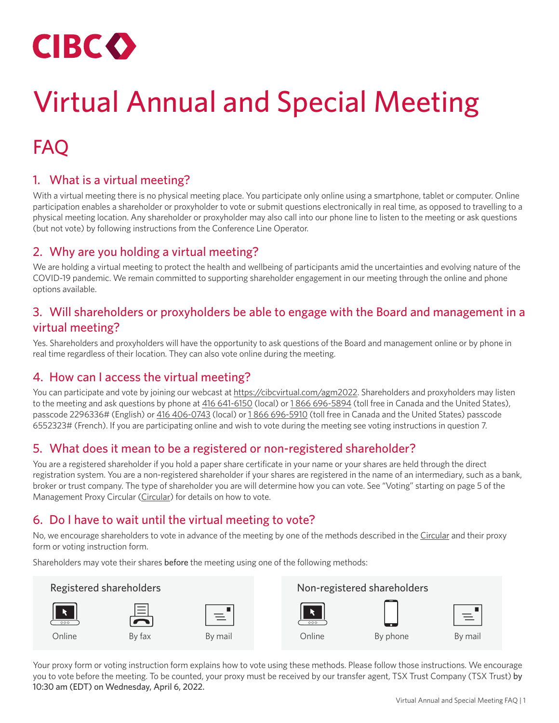

# Virtual Annual and Special Meeting

# FAQ

# 1. What is a virtual meeting?

With a virtual meeting there is no physical meeting place. You participate only online using a smartphone, tablet or computer. Online participation enables a shareholder or proxyholder to vote or submit questions electronically in real time, as opposed to travelling to a physical meeting location. Any shareholder or proxyholder may also call into our phone line to listen to the meeting or ask questions (but not vote) by following instructions from the Conference Line Operator.

# 2. Why are you holding a virtual meeting?

We are holding a virtual meeting to protect the health and wellbeing of participants amid the uncertainties and evolving nature of the COVID-19 pandemic. We remain committed to supporting shareholder engagement in our meeting through the online and phone options available.

# 3. Will shareholders or proxyholders be able to engage with the Board and management in a virtual meeting?

Yes. Shareholders and proxyholders will have the opportunity to ask questions of the Board and management online or by phone in real time regardless of their location. They can also vote online during the meeting.

# 4. How can I access the virtual meeting?

You can participate and vote by joining our webcast at [https://cibcvirtual.com/agm2022.](https://cibcvirtual.com/agm2022) Shareholders and proxyholders may listen to the meeting and ask questions by phone at [416 641-6150](tel:4166416150) (local) or [1 866 696-5894](tel:18666965894) (toll free in Canada and the United States), passcode 2296336# (English) or [416 406-0743](tel:4164060743) (local) or [1 866 696-5910](tel:18666965910) (toll free in Canada and the United States) passcode 6552323# (French). If you are participating online and wish to vote during the meeting see voting instructions in question 7.

## 5. What does it mean to be a registered or non-registered shareholder?

You are a registered shareholder if you hold a paper share certificate in your name or your shares are held through the direct registration system. You are a non-registered shareholder if your shares are registered in the name of an intermediary, such as a bank, broker or trust company. The type of shareholder you are will determine how you can vote. See "Voting" starting on page 5 of the Management Proxy Circular [\(Circular](https://www.cibc.com/en/about-cibc/investor-relations/annual-meeting.html)) for details on how to vote.

# 6. Do I have to wait until the virtual meeting to vote?

No, we encourage shareholders to vote in advance of the meeting by one of the methods described in the [Circular](https://www.cibc.com/en/about-cibc/investor-relations/annual-meeting.html) and their proxy form or voting instruction form.

Shareholders may vote their shares before the meeting using one of the following methods:



Your proxy form or voting instruction form explains how to vote using these methods. Please follow those instructions. We encourage you to vote before the meeting. To be counted, your proxy must be received by our transfer agent, TSX Trust Company (TSX Trust) by 10:30 am (EDT) on Wednesday, April 6, 2022.